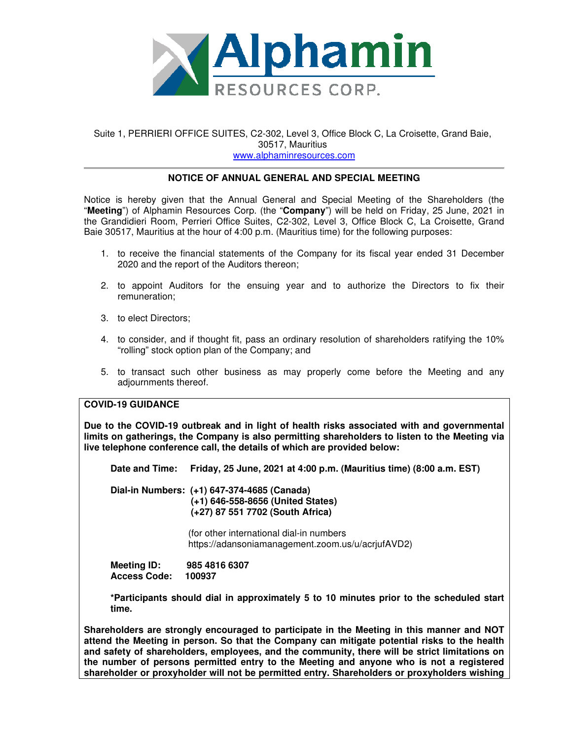

## Suite 1, PERRIERI OFFICE SUITES, C2-302, Level 3, Office Block C, La Croisette, Grand Baie, 30517, Mauritius www.alphaminresources.com

## **NOTICE OF ANNUAL GENERAL AND SPECIAL MEETING**

Notice is hereby given that the Annual General and Special Meeting of the Shareholders (the "**Meeting**") of Alphamin Resources Corp. (the "**Company**") will be held on Friday, 25 June, 2021 in the Grandidieri Room, Perrieri Office Suites, C2-302, Level 3, Office Block C, La Croisette, Grand Baie 30517, Mauritius at the hour of 4:00 p.m. (Mauritius time) for the following purposes:

- 1. to receive the financial statements of the Company for its fiscal year ended 31 December 2020 and the report of the Auditors thereon;
- 2. to appoint Auditors for the ensuing year and to authorize the Directors to fix their remuneration;
- 3. to elect Directors;
- 4. to consider, and if thought fit, pass an ordinary resolution of shareholders ratifying the 10% "rolling" stock option plan of the Company; and
- 5. to transact such other business as may properly come before the Meeting and any adjournments thereof.

## **COVID-19 GUIDANCE**

**Due to the COVID-19 outbreak and in light of health risks associated with and governmental limits on gatherings, the Company is also permitting shareholders to listen to the Meeting via live telephone conference call, the details of which are provided below:** 

**Date and Time: Friday, 25 June, 2021 at 4:00 p.m. (Mauritius time) (8:00 a.m. EST)** 

**Dial-in Numbers: (+1) 647-374-4685 (Canada) (+1) 646-558-8656 (United States) (+27) 87 551 7702 (South Africa)** 

> (for other international dial-in numbers https://adansoniamanagement.zoom.us/u/acrjufAVD2)

**Meeting ID: 985 4816 6307**  Access Code:

**\*Participants should dial in approximately 5 to 10 minutes prior to the scheduled start time.** 

**Shareholders are strongly encouraged to participate in the Meeting in this manner and NOT attend the Meeting in person. So that the Company can mitigate potential risks to the health and safety of shareholders, employees, and the community, there will be strict limitations on the number of persons permitted entry to the Meeting and anyone who is not a registered shareholder or proxyholder will not be permitted entry. Shareholders or proxyholders wishing**